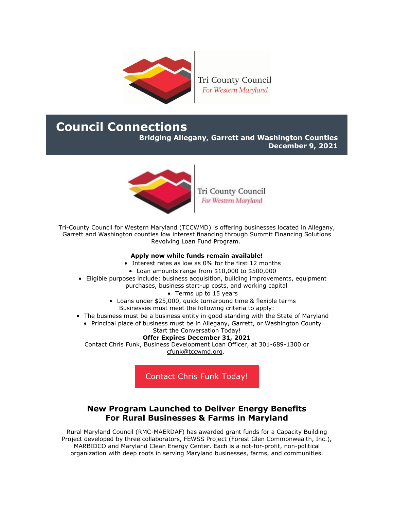

Tri County Council For Western Maryland

# **Council Connections**

**Bridging Allegany, Garrett and Washington Counties December 9, 2021**



Tri County Council For Western Maryland

Tri-County Council for Western Maryland (TCCWMD) is offering businesses located in Allegany, Garrett and Washington counties low interest financing through Summit Financing Solutions Revolving Loan Fund Program.

#### **Apply now while funds remain available!**

- Interest rates as low as 0% for the first 12 months
- Loan amounts range from \$10,000 to \$500,000
- Eligible purposes include: business acquisition, building improvements, equipment purchases, business start-up costs, and working capital
	- Terms up to 15 years
	- Loans under \$25,000, quick turnaround time & flexible terms Businesses must meet the following criteria to apply:
- The business must be a business entity in good standing with the State of Maryland
	- Principal place of business must be in Allegany, Garrett, or Washington County

#### Start the Conversation Today!

### **Offer Expires December 31, 2021**

Contact Chris Funk, Business Development Loan Officer, at 301-689-1300 or [cfunk@tccwmd.org.](mailto:cfunk@tccwmd.org)

[Contact Chris Funk Today!](mailto:cfunk@tccwmd.org)

# **New Program Launched to Deliver Energy Benefits For Rural Businesses & Farms in Maryland**

Rural Maryland Council (RMC-MAERDAF) has awarded grant funds for a Capacity Building Project developed by three collaborators, FEWSS Project (Forest Glen Commonwealth, Inc.), MARBIDCO and Maryland Clean Energy Center. Each is a not-for-profit, non-political organization with deep roots in serving Maryland businesses, farms, and communities.